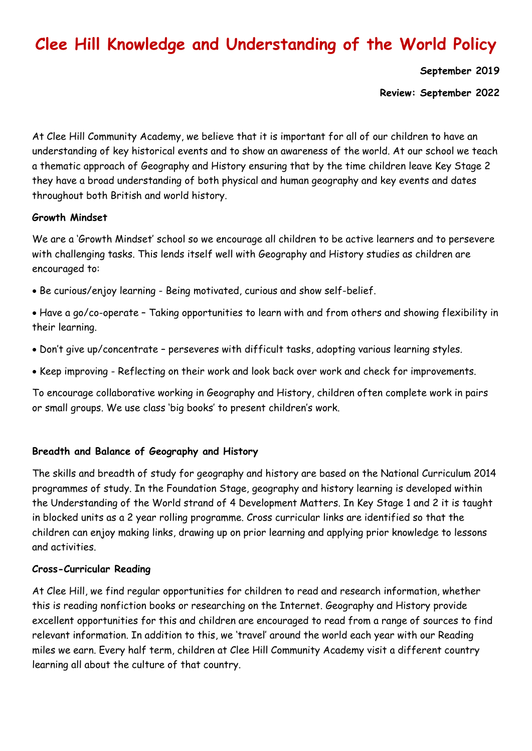# **Clee Hill Knowledge and Understanding of the World Policy**

**September 2019**

**Review: September 2022**

At Clee Hill Community Academy, we believe that it is important for all of our children to have an understanding of key historical events and to show an awareness of the world. At our school we teach a thematic approach of Geography and History ensuring that by the time children leave Key Stage 2 they have a broad understanding of both physical and human geography and key events and dates throughout both British and world history.

#### **Growth Mindset**

We are a 'Growth Mindset' school so we encourage all children to be active learners and to persevere with challenging tasks. This lends itself well with Geography and History studies as children are encouraged to:

- Be curious/enjoy learning Being motivated, curious and show self-belief.
- Have a go/co-operate Taking opportunities to learn with and from others and showing flexibility in their learning.
- Don't give up/concentrate perseveres with difficult tasks, adopting various learning styles.
- Keep improving Reflecting on their work and look back over work and check for improvements.

To encourage collaborative working in Geography and History, children often complete work in pairs or small groups. We use class 'big books' to present children's work.

#### **Breadth and Balance of Geography and History**

The skills and breadth of study for geography and history are based on the National Curriculum 2014 programmes of study. In the Foundation Stage, geography and history learning is developed within the Understanding of the World strand of 4 Development Matters. In Key Stage 1 and 2 it is taught in blocked units as a 2 year rolling programme. Cross curricular links are identified so that the children can enjoy making links, drawing up on prior learning and applying prior knowledge to lessons and activities.

#### **Cross-Curricular Reading**

At Clee Hill, we find regular opportunities for children to read and research information, whether this is reading nonfiction books or researching on the Internet. Geography and History provide excellent opportunities for this and children are encouraged to read from a range of sources to find relevant information. In addition to this, we 'travel' around the world each year with our Reading miles we earn. Every half term, children at Clee Hill Community Academy visit a different country learning all about the culture of that country.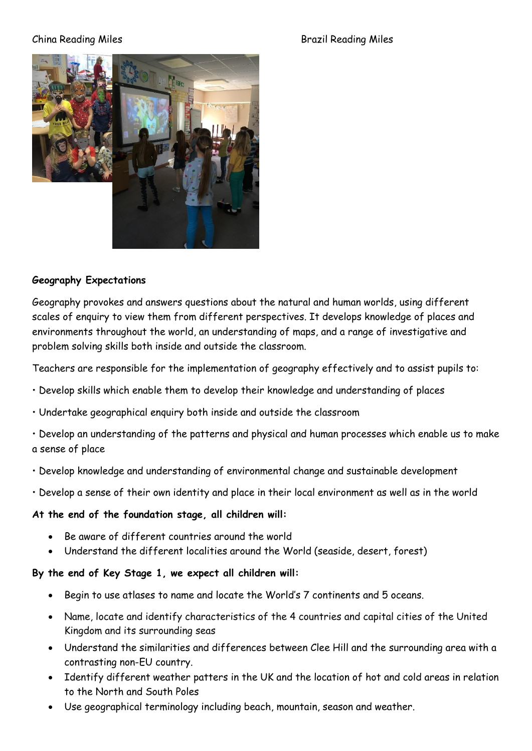#### China Reading Miles Brazil Reading Miles



# **Geography Expectations**

Geography provokes and answers questions about the natural and human worlds, using different scales of enquiry to view them from different perspectives. It develops knowledge of places and environments throughout the world, an understanding of maps, and a range of investigative and problem solving skills both inside and outside the classroom.

Teachers are responsible for the implementation of geography effectively and to assist pupils to:

- Develop skills which enable them to develop their knowledge and understanding of places
- Undertake geographical enquiry both inside and outside the classroom
- Develop an understanding of the patterns and physical and human processes which enable us to make a sense of place
- Develop knowledge and understanding of environmental change and sustainable development
- Develop a sense of their own identity and place in their local environment as well as in the world

#### **At the end of the foundation stage, all children will:**

- Be aware of different countries around the world
- Understand the different localities around the World (seaside, desert, forest)

# **By the end of Key Stage 1, we expect all children will:**

- Begin to use atlases to name and locate the World's 7 continents and 5 oceans.
- Name, locate and identify characteristics of the 4 countries and capital cities of the United Kingdom and its surrounding seas
- Understand the similarities and differences between Clee Hill and the surrounding area with a contrasting non-EU country.
- Identify different weather patters in the UK and the location of hot and cold areas in relation to the North and South Poles
- Use geographical terminology including beach, mountain, season and weather.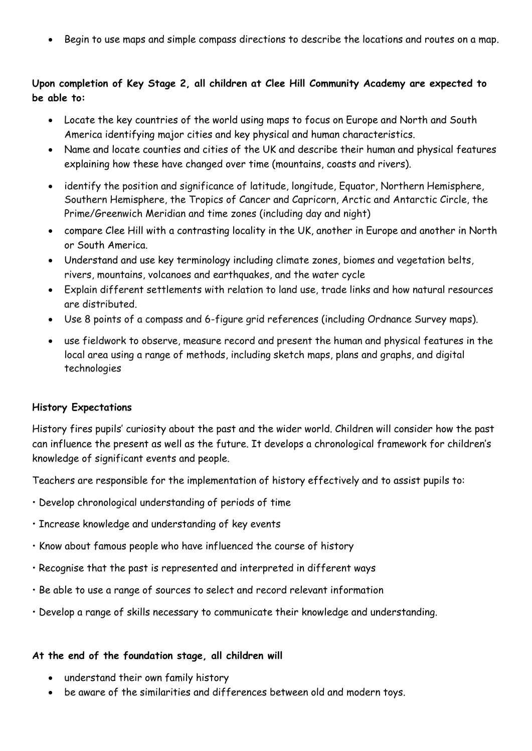• Begin to use maps and simple compass directions to describe the locations and routes on a map.

# **Upon completion of Key Stage 2, all children at Clee Hill Community Academy are expected to be able to:**

- Locate the key countries of the world using maps to focus on Europe and North and South America identifying major cities and key physical and human characteristics.
- Name and locate counties and cities of the UK and describe their human and physical features explaining how these have changed over time (mountains, coasts and rivers).
- identify the position and significance of latitude, longitude, Equator, Northern Hemisphere, Southern Hemisphere, the Tropics of Cancer and Capricorn, Arctic and Antarctic Circle, the Prime/Greenwich Meridian and time zones (including day and night)
- compare Clee Hill with a contrasting locality in the UK, another in Europe and another in North or South America.
- Understand and use key terminology including climate zones, biomes and vegetation belts, rivers, mountains, volcanoes and earthquakes, and the water cycle
- Explain different settlements with relation to land use, trade links and how natural resources are distributed.
- Use 8 points of a compass and 6-figure grid references (including Ordnance Survey maps).
- use fieldwork to observe, measure record and present the human and physical features in the local area using a range of methods, including sketch maps, plans and graphs, and digital technologies

# **History Expectations**

History fires pupils' curiosity about the past and the wider world. Children will consider how the past can influence the present as well as the future. It develops a chronological framework for children's knowledge of significant events and people.

Teachers are responsible for the implementation of history effectively and to assist pupils to:

- Develop chronological understanding of periods of time
- Increase knowledge and understanding of key events
- Know about famous people who have influenced the course of history
- Recognise that the past is represented and interpreted in different ways
- Be able to use a range of sources to select and record relevant information
- Develop a range of skills necessary to communicate their knowledge and understanding.

#### **At the end of the foundation stage, all children will**

- understand their own family history
- be aware of the similarities and differences between old and modern toys.